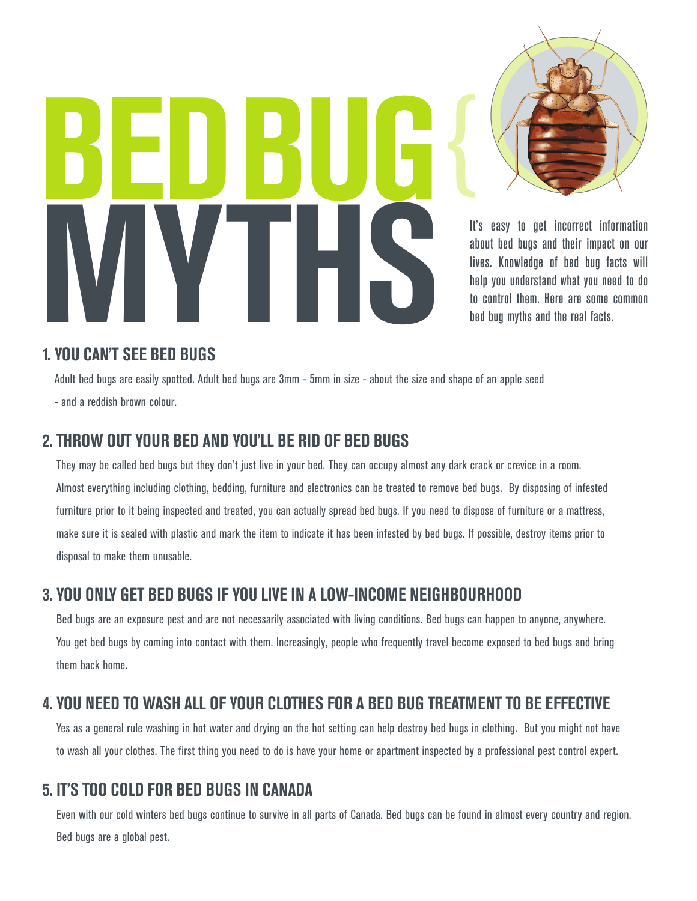**BEd Bug MYTHERES** 



It's easy to get incorrect information about bed bugs and their impact on our lives. Knowledge of bed bug facts will help you understand what you need to do to control them. Here are some common bed bug myths and the real facts.

#### **1. You CAn'T SEE BEd BugS**

Adult bed bugs are easily spotted. Adult bed bugs are 3mm - 5mm in size - about the size and shape of an apple seed - and a reddish brown colour.

#### **2. THrow ouT Your BEd And You'll BE rid oF BEd BugS**

They may be called bed bugs but they don't just live in your bed. They can occupy almost any dark crack or crevice in a room. Almost everything including clothing, bedding, furniture and electronics can be treated to remove bed bugs. By disposing of infested furniture prior to it being inspected and treated, you can actually spread bed bugs. If you need to dispose of furniture or a mattress, make sure it is sealed with plastic and mark the item to indicate it has been infested by bed bugs. If possible, destroy items prior to disposal to make them unusable.

# **3. You onlY gET BEd BugS iF You livE in A low-inComE nEigHBourHood**

Bed bugs are an exposure pest and are not necessarily associated with living conditions. Bed bugs can happen to anyone, anywhere. You get bed bugs by coming into contact with them. Increasingly, people who frequently travel become exposed to bed bugs and bring them back home.

# **4. You nEEd To wASH All oF Your CloTHES For A BEd Bug TrEATmEnT To BE EFFECTivE**

Yes as a general rule washing in hot water and drying on the hot setting can help destroy bed bugs in clothing. But you might not have to wash all your clothes. The first thing you need to do is have your home or apartment inspected by a professional pest control expert.

#### **5. iT'S Too Cold For BEd BugS in CAnAdA**

Even with our cold winters bed bugs continue to survive in all parts of Canada. Bed bugs can be found in almost every country and region. Bed bugs are a global pest.